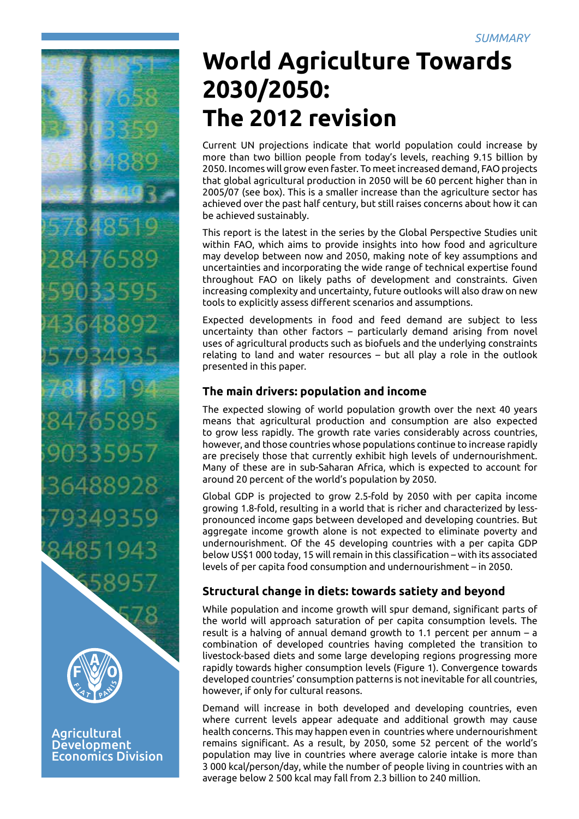

**Agricultural** Development Economics Division

# **World Agriculture Towards 2030/2050: The 2012 revision**

Current UN projections indicate that world population could increase by more than two billion people from today's levels, reaching 9.15 billion by 2050. Incomes will grow even faster. To meet increased demand, FAO projects that global agricultural production in 2050 will be 60 percent higher than in 2005/07 (see box). This is a smaller increase than the agriculture sector has achieved over the past half century, but still raises concerns about how it can be achieved sustainably.

This report is the latest in the series by the Global Perspective Studies unit within FAO, which aims to provide insights into how food and agriculture may develop between now and 2050, making note of key assumptions and uncertainties and incorporating the wide range of technical expertise found throughout FAO on likely paths of development and constraints. Given increasing complexity and uncertainty, future outlooks will also draw on new tools to explicitly assess different scenarios and assumptions.

Expected developments in food and feed demand are subject to less uncertainty than other factors – particularly demand arising from novel uses of agricultural products such as biofuels and the underlying constraints relating to land and water resources – but all play a role in the outlook presented in this paper.

# **The main drivers: population and income**

The expected slowing of world population growth over the next 40 years means that agricultural production and consumption are also expected to grow less rapidly. The growth rate varies considerably across countries, however, and those countries whose populations continue to increase rapidly are precisely those that currently exhibit high levels of undernourishment. Many of these are in sub-Saharan Africa, which is expected to account for around 20 percent of the world's population by 2050.

Global GDP is projected to grow 2.5-fold by 2050 with per capita income growing 1.8-fold, resulting in a world that is richer and characterized by lesspronounced income gaps between developed and developing countries. But aggregate income growth alone is not expected to eliminate poverty and undernourishment. Of the 45 developing countries with a per capita GDP below US\$1 000 today, 15 will remain in this classification – with its associated levels of per capita food consumption and undernourishment – in 2050.

# **Structural change in diets: towards satiety and beyond**

While population and income growth will spur demand, significant parts of the world will approach saturation of per capita consumption levels. The result is a halving of annual demand growth to 1.1 percent per annum – a combination of developed countries having completed the transition to livestock-based diets and some large developing regions progressing more rapidly towards higher consumption levels (Figure 1). Convergence towards developed countries' consumption patterns is not inevitable for all countries, however, if only for cultural reasons.

Demand will increase in both developed and developing countries, even where current levels appear adequate and additional growth may cause health concerns. This may happen even in countries where undernourishment remains significant. As a result, by 2050, some 52 percent of the world's population may live in countries where average calorie intake is more than 3 000 kcal/person/day, while the number of people living in countries with an average below 2 500 kcal may fall from 2.3 billion to 240 million.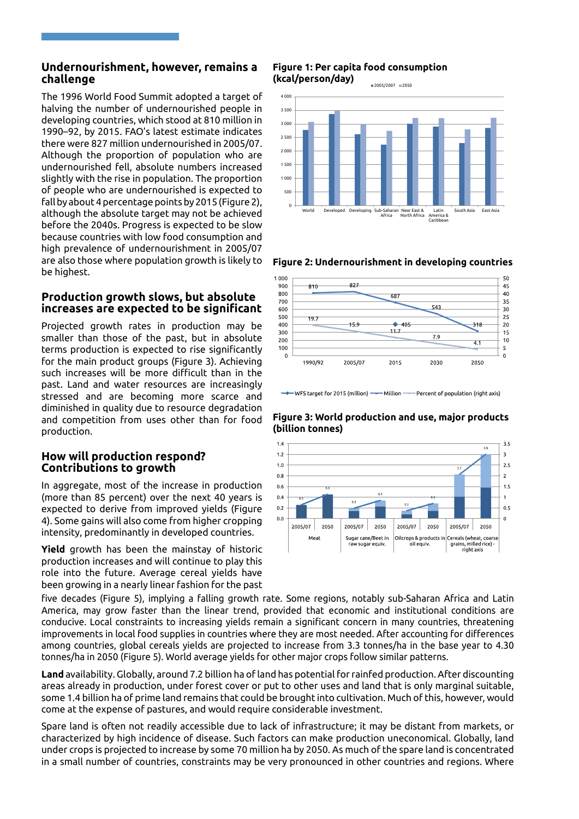# **Undernourishment, however, remains a challenge**

 because countries with low food consumption and The 1996 World Food Summit adopted a target of halving the number of undernourished people in developing countries, which stood at 810 million in 1990–92, by 2015. FAO's latest estimate indicates there were 827 million undernourished in 2005/07. Although the proportion of population who are undernourished fell, absolute numbers increased slightly with the rise in population. The proportion of people who are undernourished is expected to fall by about 4 percentage points by 2015 (Figure 2), although the absolute target may not be achieved before the 2040s. Progress is expected to be slow high prevalence of undernourishment in 2005/07 are also those where population growth is likely to be highest.

# **Production growth slows, but absolute increases are expected to be significant**

.<br>stressed and are becoming more scarce and Projected growth rates in production may be smaller than those of the past, but in absolute terms production is expected to rise significantly for the main product groups (Figure 3). Achieving such increases will be more difficult than in the past. Land and water resources are increasingly diminished in quality due to resource degradation and competition from uses other than for food production.

# **How will production respond? Contributions to growth**

In aggregate, most of the increase in production (more than 85 percent) over the next 40 years is expected to derive from improved yields (Figure 4). Some gains will also come from higher cropping intensity, predominantly in developed countries.

**Yield** growth has been the mainstay of historic production increases and will continue to play this role into the future. Average cereal yields have been growing in a nearly linear fashion for the past

#### **Figure 1: Per capita food consumption** *&ŝŐƵƌĞϭ* **(kcal/person/day)**





**Figure 2: Undernourishment in developing countries**



WFS target for 2015 (million) -- Million -- Percent of population (right axis)

**Figure 3: World production and use, major products (billion tonnes)** 



five decades (Figure 5), implying a falling growth rate. Some regions, notably sub-Saharan Africa and Latin America, may grow faster than the linear trend, provided that economic and institutional conditions are conducive. Local constraints to increasing yields remain a significant concern in many countries, threatening improvements in local food supplies in countries where they are most needed. After accounting for differences among countries, global cereals yields are projected to increase from 3.3 tonnes/ha in the base year to 4.30 tonnes/ha in 2050 (Figure 5). World average yields for other major crops follow similar patterns.

**Land** availability. Globally, around 7.2 billion ha of land has potential for rainfed production. After discounting areas already in production, under forest cover or put to other uses and land that is only marginal suitable, some 1.4 billion ha of prime land remains that could be brought into cultivation. Much of this, however, would come at the expense of pastures, and would require considerable investment.

Spare land is often not readily accessible due to lack of infrastructure; it may be distant from markets, or characterized by high incidence of disease. Such factors can make production uneconomical. Globally, land under crops is projected to increase by some 70 million ha by 2050. As much of the spare land is concentrated in a small number of countries, constraints may be very pronounced in other countries and regions. Where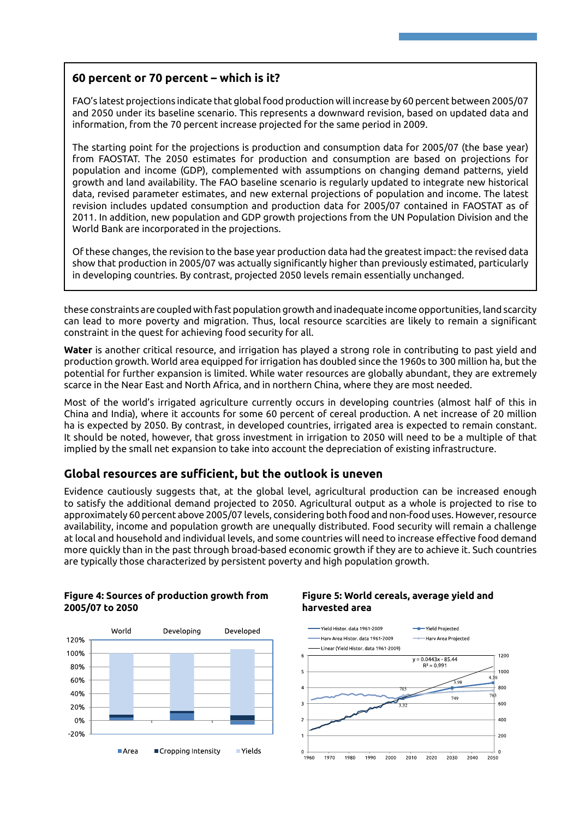# **60 percent or 70 percent – which is it?**

FAO's latest projections indicate that global food production will increase by 60 percent between 2005/07 and 2050 under its baseline scenario. This represents a downward revision, based on updated data and information, from the 70 percent increase projected for the same period in 2009.

The starting point for the projections is production and consumption data for 2005/07 (the base year) from FAOSTAT. The 2050 estimates for production and consumption are based on projections for population and income (GDP), complemented with assumptions on changing demand patterns, yield growth and land availability. The FAO baseline scenario is regularly updated to integrate new historical data, revised parameter estimates, and new external projections of population and income. The latest revision includes updated consumption and production data for 2005/07 contained in FAOSTAT as of 2011. In addition, new population and GDP growth projections from the UN Population Division and the World Bank are incorporated in the projections.

Of these changes, the revision to the base year production data had the greatest impact: the revised data show that production in 2005/07 was actually significantly higher than previously estimated, particularly in developing countries. By contrast, projected 2050 levels remain essentially unchanged.

these constraints are coupled with fast population growth and inadequate income opportunities, land scarcity can lead to more poverty and migration. Thus, local resource scarcities are likely to remain a significant constraint in the quest for achieving food security for all.

**Water** is another critical resource, and irrigation has played a strong role in contributing to past yield and production growth. World area equipped for irrigation has doubled since the 1960s to 300 million ha, but the potential for further expansion is limited. While water resources are globally abundant, they are extremely scarce in the Near East and North Africa, and in northern China, where they are most needed.

Most of the world's irrigated agriculture currently occurs in developing countries (almost half of this in China and India), where it accounts for some 60 percent of cereal production. A net increase of 20 million ha is expected by 2050. By contrast, in developed countries, irrigated area is expected to remain constant. It should be noted, however, that gross investment in irrigation to 2050 will need to be a multiple of that implied by the small net expansion to take into account the depreciation of existing infrastructure.

# **Global resources are sufficient, but the outlook is uneven**

Evidence cautiously suggests that, at the global level, agricultural production can be increased enough to satisfy the additional demand projected to 2050. Agricultural output as a whole is projected to rise to approximately 60 percent above 2005/07 levels, considering both food and non-food uses. However, resource availability, income and population growth are unequally distributed. Food security will remain a challenge at local and household and individual levels, and some countries will need to increase effective food demand more quickly than in the past through broad-based economic growth if they are to achieve it. Such countries are typically those characterized by persistent poverty and high population growth.

### **Figure 4: Sources of production growth from Figure 5: World cereals, average yield and 2005/07 to 2050 harvested area**